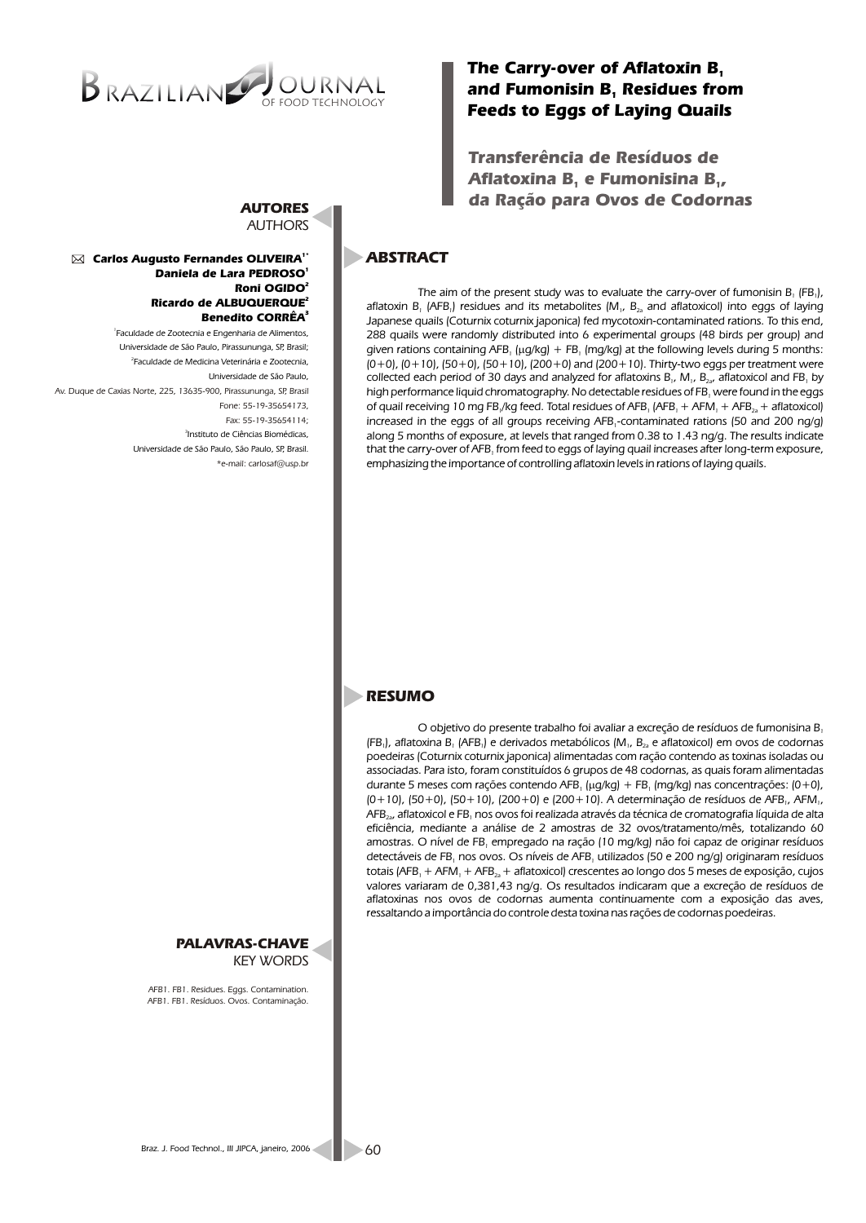

## *The Carry-over of Aflatoxin B<sup>1</sup>* and Fumonisin B, Residues from *Feeds to Eggs of Laying Quails*

*Transferência de Resíduos de Aflatoxina B, e Fumonisina B*<sub>1</sub> *da Ração para Ovos de Codornas*

# *ABSTRACT*

*The aim of the present study was to evaluate the carry-over of fumonisin B, (FB,), aflatoxin B<sub>1</sub> (AFB<sub>1</sub>) residues and its metabolites (M<sub>1</sub>, B<sub>24</sub> and aflatoxicol) into eggs of laying Japanese quails (Coturnix coturnix japonica) fed mycotoxin-contaminated rations. To this end, 288 quails were randomly distributed into 6 experimental groups (48 birds per group) and given rations containing AFB ( g/kg) + FB (mg/kg) at the following levels during 5 months: 1 1 (0+0), (0+10), (50+0), (50+10), (200+0) and (200+10). Thirty-two eggs per treatment were collected each period of 30 days and analyzed for aflatoxins B<sub>1</sub>, M<sub>1</sub>, B<sub>2</sub>, aflatoxicol and FB<sub>1</sub> by high performance liquid chromatography. No detectable residues of FB were found in the eggs <sup>1</sup> of quail receiving 10 mg FB /kg feed. Total residues of AFB <sub>1</sub> AFM*  $+$  *AFB*<sub> $2a$ </sub>  $+$  *aflatoxicol*) *increased in the eggs of all groups receiving AFB -contaminated rations (50 and 200 ng/g) <sup>1</sup> along 5 months of exposure, at levels that ranged from 0.38 to 1.43 ng/g. The results indicate that the carry-over of AFB from feed to eggs of laying quail increases after long-term exposure, <sup>1</sup> emphasizing the importance of controlling aflatoxin levels in rations of laying quails.* 

### *AUTORES AUTHORS*

#### *1\* Carlos Augusto Fernandes OLIVEIRA <sup>1</sup> Daniela de Lara PEDROSO 2 Roni OGIDO 2 Ricardo de ALBUQUERQUE 3 Benedito CORRÊA*

*1 Faculdade de Zootecnia e Engenharia de Alimentos, Universidade de São Paulo, Pirassununga, SP, Brasil; 2 Faculdade de Medicina Veterinária e Zootecnia, Universidade de São Paulo, 3 Instituto de Ciências Biomédicas, Universidade de São Paulo, São Paulo, SP, Brasil. Av. Duque de Caxias Norte, 225, 13635-900, Pirassununga, SP, Brasil Fone: 55-19-35654173, Fax: 55-19-35654114; \*e-mail: carlosaf@usp.br*



*O objetivo do presente trabalho foi avaliar a excreção de resíduos de fumonisina B<sup>1</sup> (FB ), aflatoxina B (AFB ) e derivados metabólicos (M , B e aflatoxicol) em ovos de codornas 1 1 <sup>1</sup> <sup>1</sup> 2a poedeiras (Coturnix coturnix japonica) alimentadas com ração contendo as toxinas isoladas ou associadas. Para isto, foram constituídos 6 grupos de 48 codornas, as quais foram alimentadas durante 5 meses com rações contendo AFB ( g/kg) + FB (mg/kg) nas concentrações: (0+0), 1 1 (0+10), (50+0), (50+10), (200+0) e (200+10). A determinação de resíduos de AFB , AFM , 1 1 AFB , aflatoxicol e FB nos ovos foi realizada através da técnica de cromatografia líquida de alta 2a <sup>1</sup> eficiência, mediante a análise de 2 amostras de 32 ovos/tratamento/mês, totalizando 60*  amostras. O nível de FB, empregado na ração (10 mg/kg) não foi capaz de originar resíduos *detectáveis de FB nos ovos. Os níveis de AFB utilizados (50 e 200 ng/g) originaram resíduos 1 1 totais (AFB + AFM + AFB + aflatoxicol) crescentes ao longo dos 5 meses de exposição, cujos 1 1 2a valores variaram de 0,381,43 ng/g. Os resultados indicaram que a excreção de resíduos de aflatoxinas nos ovos de codornas aumenta continuamente com a exposição das aves, ressaltando a importância do controle desta toxina nas rações de codornas poedeiras.*

*PALAVRAS-CHAVE KEY WORDS*

*AFB1. FB1. Residues. Eggs. Contamination. AFB1. FB1. Resíduos. Ovos. Contaminação.*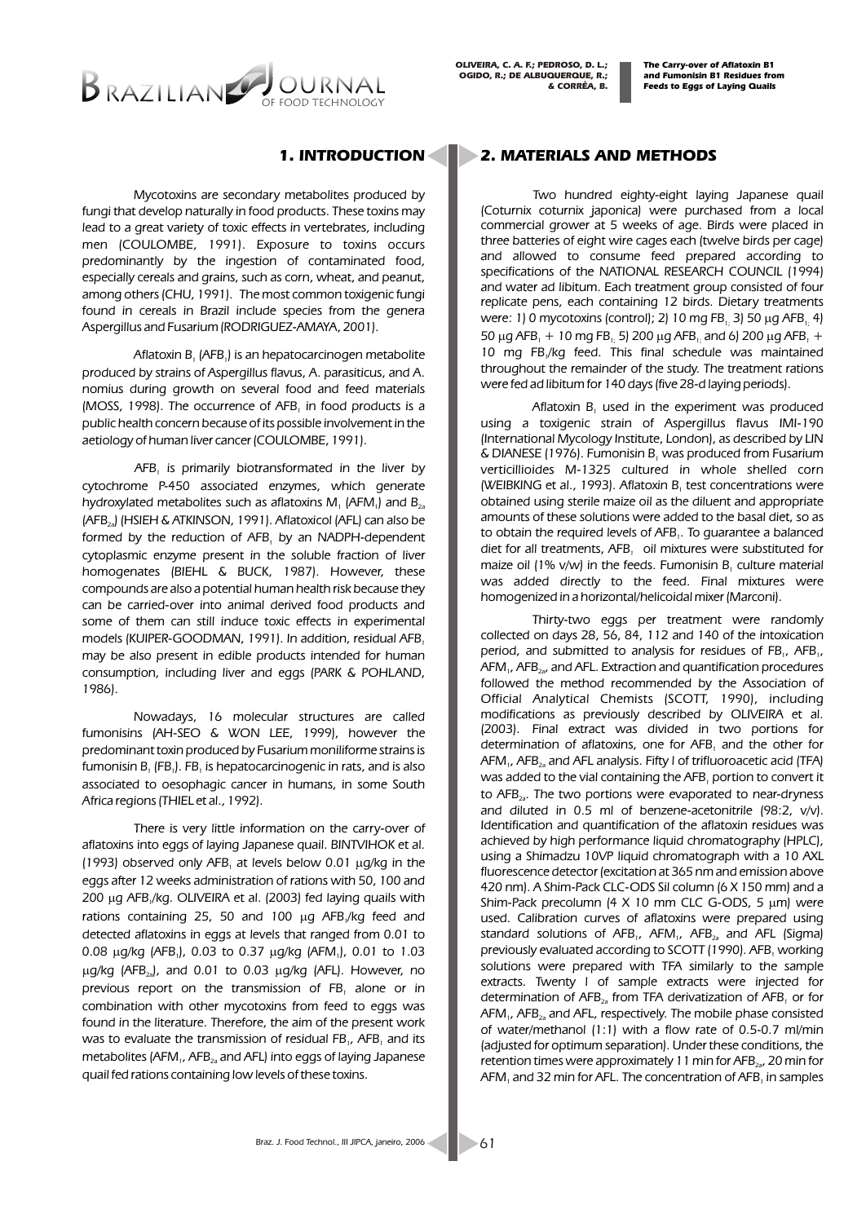*The Carry-over of Aflatoxin B1 and Fumonisin B1 Residues from Feeds to Eggs of Laying Quails*

# BRAZILIAN

*Mycotoxins are secondary metabolites produced by fungi that develop naturally in food products. These toxins may*  lead to a great variety of toxic effects in vertebrates, including *men (COULOMBE, 1991). Exposure to toxins occurs predominantly by the ingestion of contaminated food, especially cereals and grains, such as corn, wheat, and peanut, among others (CHU, 1991). The most common toxigenic fungi found in cereals in Brazil include species from the genera Aspergillus and Fusarium (RODRIGUEZ-AMAYA, 2001).*

*Aflatoxin B (AFB ) is an hepatocarcinogen metabolite 1 1 produced by strains of Aspergillus flavus, A. parasiticus, and A. nomius during growth on several food and feed materials (MOSS, 1998). The occurrence of AFB<sub>1</sub> in food products is a public health concern because of its possible involvement in the aetiology of human liver cancer (COULOMBE, 1991).*

*AFB is primarily biotransformated in the liver by <sup>1</sup> cytochrome P-450 associated enzymes, which generate hydroxylated metabolites such as aflatoxins M1 1 (AFM ) and B2a (AFB ) (HSIEH & ATKINSON, 1991). Aflatoxicol (AFL) can also be 2a* formed by the reduction of AFB, by an NADPH-dependent *cytoplasmic enzyme present in the soluble fraction of liver homogenates (BIEHL & BUCK, 1987). However, these compounds are also a potential human health risk because they can be carried-over into animal derived food products and some of them can still induce toxic effects in experimental models (KUIPER-GOODMAN, 1991). In addition, residual AFB<sup>1</sup> may be also present in edible products intended for human consumption, including liver and eggs (PARK & POHLAND, 1986).* 

*Nowadays, 16 molecular structures are called fumonisins (AH-SEO & WON LEE, 1999), however the predominant toxin produced by Fusarium moniliforme strains is fumonisin B<sub>1</sub> (FB<sub>1</sub>). FB<sub>1</sub> is hepatocarcinogenic in rats, and is also associated to oesophagic cancer in humans, in some South Africa regions (THIEL et al., 1992).*

*There is very little information on the carry-over of aflatoxins into eggs of laying Japanese quail. BINTVIHOK et al. (1993) observed only AFB at levels below 0.01 g/kg in the <sup>1</sup> eggs after 12 weeks administration of rations with 50, 100 and 200 g AFB /kg. OLIVEIRA et al. (2003) fed laying quails with <sup>1</sup> rations containing 25, 50 and 100 g AFB /kg feed and <sup>1</sup> detected aflatoxins in eggs at levels that ranged from 0.01 to 0.08 g/kg (AFB ), 0.03 to 0.37 g/kg (AFM ), 0.01 to 1.03 1 1 g/kg (AFB ), and 0.01 to 0.03 g/kg (AFL). However, no 2a previous report on the transmission of FB alone or in <sup>1</sup> combination with other mycotoxins from feed to eggs was found in the literature. Therefore, the aim of the present work was to evaluate the transmission of residual FB,, AFB, and its metabolites (AFM<sub>1</sub>, AFB<sub>2</sub><sup>2</sup> and AFL) into eggs of laying Japanese quail fed rations containing low levels of these toxins.*

### *1. INTRODUCTION 2. MATERIALS AND METHODS*

*Two hundred eighty-eight laying Japanese quail (Coturnix coturnix japonica) were purchased from a local commercial grower at 5 weeks of age. Birds were placed in three batteries of eight wire cages each (twelve birds per cage) and allowed to consume feed prepared according to specifications of the NATIONAL RESEARCH COUNCIL (1994) and water ad libitum. Each treatment group consisted of four replicate pens, each containing 12 birds. Dietary treatments were: 1) 0 mycotoxins (control); 2) 10 mg FB 3) 50 g AFB 4) 1; 1; 50* g AFB<sub>1</sub> + 10 mg FB<sub>1</sub>; 5) 200 g AFB<sub>1</sub>; and 6) 200 g AFB<sub>1</sub> + *10 mg FB /kg feed. This final schedule was maintained <sup>1</sup> throughout the remainder of the study. The treatment rations were fed ad libitum for 140 days (five 28-d laying periods).*

*Aflatoxin B, used in the experiment was produced using a toxigenic strain of Aspergillus flavus IMI-190 (International Mycology Institute, London), as described by LIN & DIANESE (1976). Fumonisin B was produced from Fusarium <sup>1</sup> verticillioides M-1325 cultured in whole shelled corn (WEIBKING et al., 1993). Aflatoxin B<sub>1</sub> test concentrations were obtained using sterile maize oil as the diluent and appropriate amounts of these solutions were added to the basal diet, so as to obtain the required levels of AFB . To guarantee a balanced <sup>1</sup> diet for all treatments, AFB, oil mixtures were substituted for maize oil (1% v/w) in the feeds. Fumonisin B<sub>1</sub> culture material was added directly to the feed. Final mixtures were homogenized in a horizontal/helicoidal mixer (Marconi).*

*Thirty-two eggs per treatment were randomly collected on days 28, 56, 84, 112 and 140 of the intoxication period, and submitted to analysis for residues of FB<sub>1</sub></sub>, AFB<sub>1</sub>*, *AFM , AFB , and AFL. Extraction and quantification procedures 1 2a* followed the method recommended by the Association of *Official Analytical Chemists (SCOTT, 1990), including modifications as previously described by OLIVEIRA et al. (2003). Final extract was divided in two portions for determination of aflatoxins, one for AFB<sub>1</sub> and the other for AFM , AFB and AFL analysis. Fifty l of trifluoroacetic acid (TFA) 1 2a* was added to the vial containing the AFB, portion to convert it *to AFB . The two portions were evaporated to near-dryness 2a* and diluted in 0.5 ml of benzene-acetonitrile (98:2, v/v). *Identification and quantification of the aflatoxin residues was achieved by high performance liquid chromatography (HPLC), using a Shimadzu 10VP liquid chromatograph with a 10 AXL fluorescence detector (excitation at 365 nm and emission above 420 nm). A Shim-Pack CLC-ODS Sil column (6 X 150 mm) and a Shim-Pack precolumn (4 X 10 mm CLC G-ODS, 5 m) were used. Calibration curves of aflatoxins were prepared using standard solutions of AFB , AFM , AFB and AFL (Sigma) 1 1 2a previously evaluated according to SCOTT (1990). AFB working <sup>1</sup> solutions were prepared with TFA similarly to the sample extracts. Twenty l of sample extracts were injected for determination of AFB*<sub>2a</sub> from TFA derivatization of AFB, or for *AFM , AFB and AFL, respectively. The mobile phase consisted 1 2a of water/methanol (1:1) with a flow rate of 0.5-0.7 ml/min (adjusted for optimum separation). Under these conditions, the retention times were approximately 11 min for AFB<sub>2a</sub>*, 20 min for AFM, and 32 min for AFL. The concentration of AFB, in samples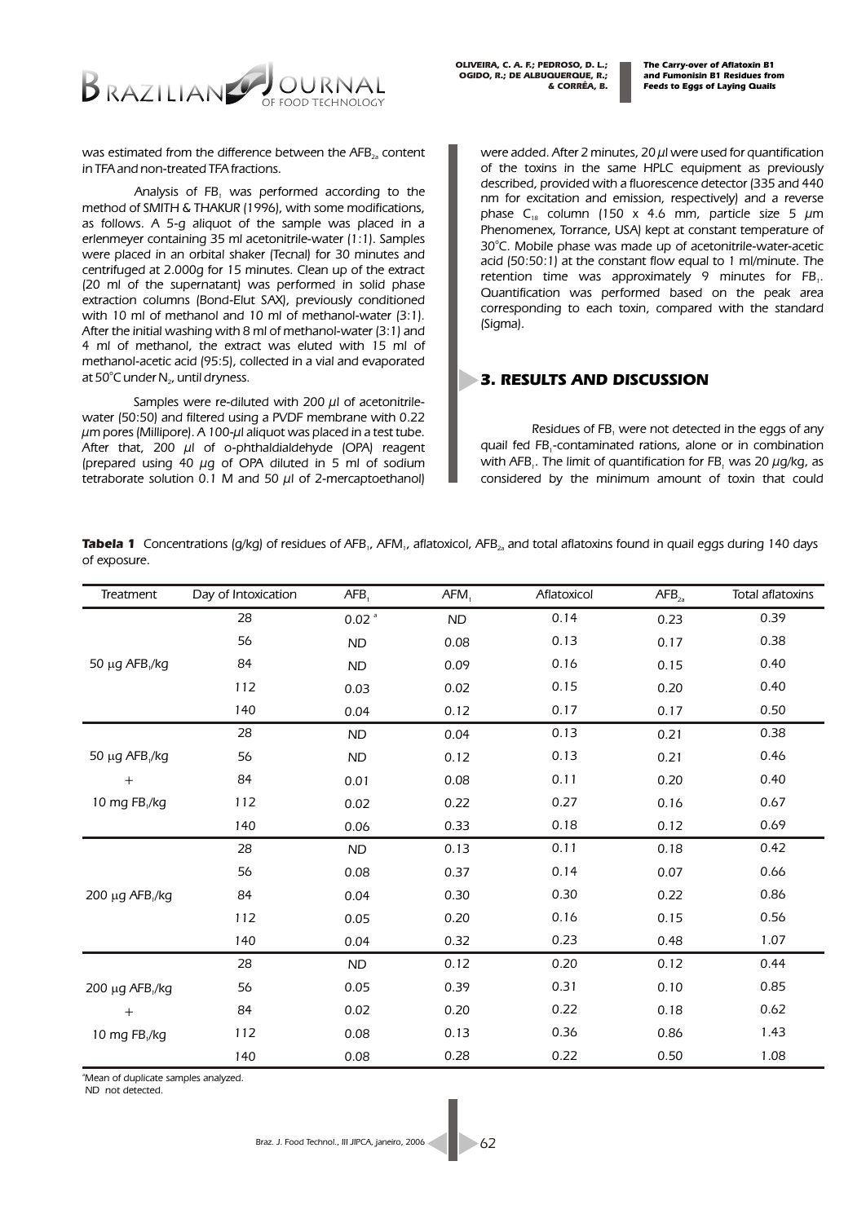

*OLIVEIRA, C. A. F.; PEDROSO, D. L.; OGIDO, R.; DE ALBUQUERQUE, R.; & CORRÊA, B.* 

*The Carry-over of Aflatoxin B1 and Fumonisin B1 Residues from Feeds to Eggs of Laying Quails*

*was estimated from the difference between the AFB*<sub>2</sub><sup>2</sup>*content in TFA and non-treated TFA fractions.*

*Analysis of FB was performed according to the <sup>1</sup> method of SMITH & THAKUR (1996), with some modifications, as follows. A 5-g aliquot of the sample was placed in a erlenmeyer containing 35 ml acetonitrile-water (1:1). Samples were placed in an orbital shaker (Tecnal) for 30 minutes and centrifuged at 2.000g for 15 minutes. Clean up of the extract (20 ml of the supernatant) was performed in solid phase extraction columns (Bond-Elut SAX), previously conditioned*  with 10 ml of methanol and 10 ml of methanol-water (3:1). *After the initial washing with 8 ml of methanol-water (3:1) and 4 ml of methanol, the extract was eluted with 15 ml of methanol-acetic acid (95:5), collected in a vial and evaporated*  at 50<sup>°</sup>C under N<sub>2</sub>, until dryness.

*Samples were re-diluted with 200 µl of acetonitrilewater (50:50) and filtered using a PVDF membrane with 0.22 µm pores (Millipore). A 100-µl aliquot was placed in a test tube. After that, 200 µl of o-phthaldialdehyde (OPA) reagent (prepared using 40 µg of OPA diluted in 5 ml of sodium tetraborate solution 0.1 M and 50 µl of 2-mercaptoethanol)*  *were added. After 2 minutes, 20 µl were used for quantification of the toxins in the same HPLC equipment as previously described, provided with a fluorescence detector (335 and 440 nm for excitation and emission, respectively) and a reverse*  phase C<sub>18</sub> column (150 x 4.6 mm, particle size 5  $\mu$ m *Phenomenex, Torrance, USA) kept at constant temperature of*  30°C. Mobile phase was made up of acetonitrile-water-acetic *acid (50:50:1) at the constant flow equal to 1 ml/minute. The retention time was approximately 9 minutes for FB<sub>1</sub></sub>. Quantification was performed based on the peak area corresponding to each toxin, compared with the standard (Sigma).*

### *3. RESULTS AND DISCUSSION*

*Residues of FB were not detected in the eggs of any <sup>1</sup> quail fed FB -contaminated rations, alone or in combination <sup>1</sup> with AFB*<sub>1</sub>*. The limit of quantification for FB*<sub>1</sub> was 20  $\mu$ q/kq, as *considered by the minimum amount of toxin that could* 

**Tabela 1** Concentrations (g/kg) of residues of AFB<sub>1</sub>, AFM<sub>1</sub>, aflatoxicol, AFB<sub>2</sub> and total aflatoxins found in quail eggs during 140 days *of exposure.*

| Treatment                     | Day of Intoxication | AFB <sub>1</sub>    | AFM <sub>1</sub> | Aflatoxicol | AFB <sub>2a</sub> | Total aflatoxins |
|-------------------------------|---------------------|---------------------|------------------|-------------|-------------------|------------------|
|                               | 28                  | $0.02$ <sup>a</sup> | ND               | 0.14        | 0.23              | 0.39             |
| g AFB <sub>1</sub> /kg<br>50  | 56                  | ND                  | 0.08             | 0.13        | 0.17              | 0.38             |
|                               | 84                  | ND                  | 0.09             | 0.16        | 0.15              | 0.40             |
|                               | 112                 | 0.03                | 0.02             | 0.15        | 0.20              | 0.40             |
|                               | 140                 | 0.04                | 0.12             | 0.17        | 0.17              | 0.50             |
|                               | 28                  | <b>ND</b>           | 0.04             | 0.13        | 0.21              | 0.38             |
| 50<br>g AFB <sub>1</sub> /kg  | 56                  | <b>ND</b>           | 0.12             | 0.13        | 0.21              | 0.46             |
| $+$                           | 84                  | 0.01                | 0.08             | 0.11        | 0.20              | 0.40             |
| 10 mg FB <sub>1</sub> /kg     | 112                 | 0.02                | 0.22             | 0.27        | 0.16              | 0.67             |
|                               | 140                 | 0.06                | 0.33             | 0.18        | 0.12              | 0.69             |
| g AFB <sub>1</sub> /kg<br>200 | 28                  | <b>ND</b>           | 0.13             | 0.11        | 0.18              | 0.42             |
|                               | 56                  | 0.08                | 0.37             | 0.14        | 0.07              | 0.66             |
|                               | 84                  | 0.04                | 0.30             | 0.30        | 0.22              | 0.86             |
|                               | 112                 | 0.05                | 0.20             | 0.16        | 0.15              | 0.56             |
|                               | 140                 | 0.04                | 0.32             | 0.23        | 0.48              | 1.07             |
|                               | 28                  | <b>ND</b>           | 0.12             | 0.20        | 0.12              | 0.44             |
| g AFB <sub>1</sub> /kg<br>200 | 56                  | 0.05                | 0.39             | 0.31        | 0.10              | 0.85             |
| $+$                           | 84                  | 0.02                | 0.20             | 0.22        | 0.18              | 0.62             |
| 10 mg FB,/kg                  | 112                 | 0.08                | 0.13             | 0.36        | 0.86              | 1.43             |
|                               | 140                 | 0.08                | 0.28             | 0.22        | 0.50              | 1.08             |

*<sup>a</sup>Mean of duplicate samples analyzed.*

 *ND not detected.*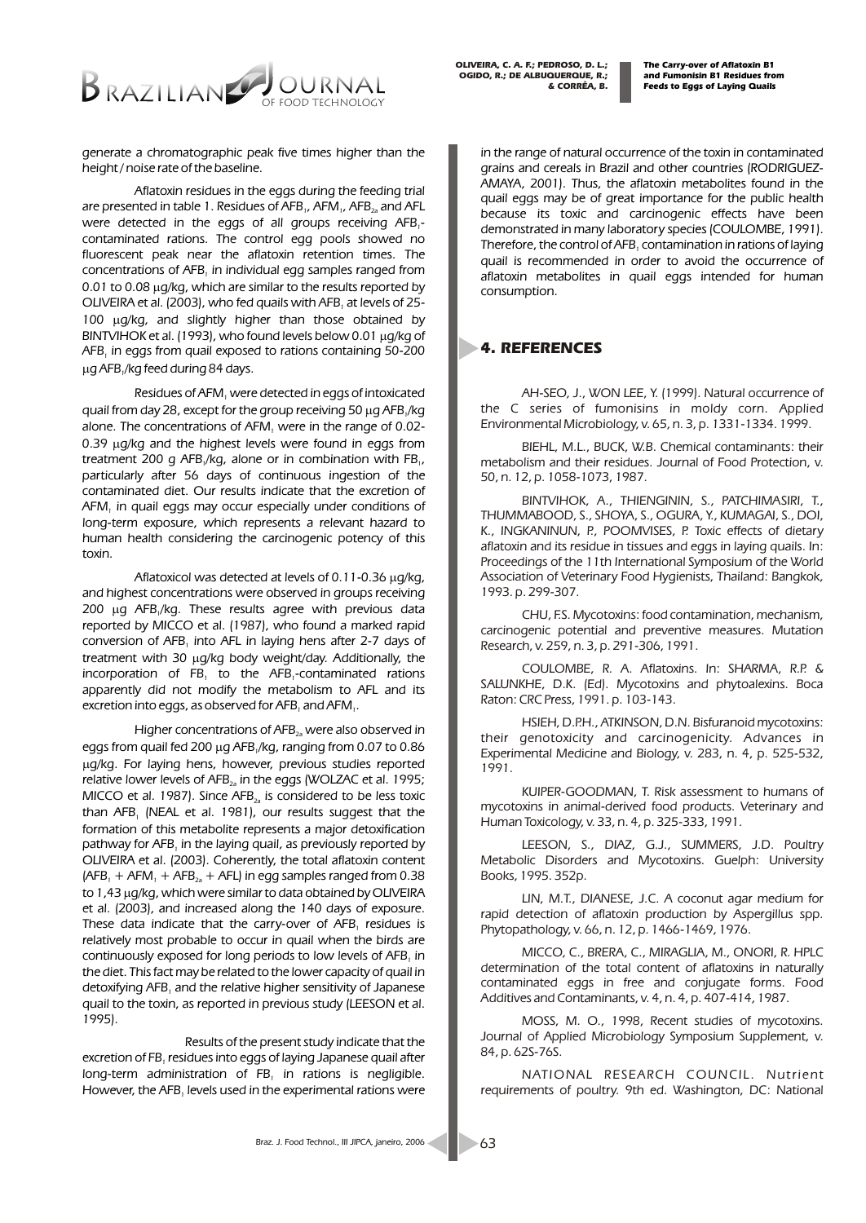

*OLIVEIRA, C. A. F.; PEDROSO, D. L.; OGIDO, R.; DE ALBUQUERQUE, R.; & CORRÊA, B.* 

*generate a chromatographic peak five times higher than the height / noise rate of the baseline.*

*Aflatoxin residues in the eggs during the feeding trial are presented in table 1. Residues of AFB<sub>1</sub></sub>, AFM<sub>1</sub>, AFB<sub>2</sub><sub>2</sub> and AFL were detected in the eggs of all groups receiving AFB -<sup>1</sup> contaminated rations. The control egg pools showed no fluorescent peak near the aflatoxin retention times. The concentrations of AFB<sub>1</sub> in individual egg samples ranged from 0.01 to 0.08 g/kg, which are similar to the results reported by OLIVEIRA et al. (2003), who fed quails with AFB, at levels of 25-100 g/kg, and slightly higher than those obtained by BINTVIHOK et al. (1993), who found levels below 0.01 g/kg of AFB in eggs from quail exposed to rations containing 50-200 <sup>1</sup> g AFB /kg feed during 84 days. <sup>1</sup>*

*Residues of AFM were detected in eggs of intoxicated <sup>1</sup> quail from day 28, except for the group receiving 50 g AFB /kg <sup>1</sup> alone. The concentrations of AFM were in the range of 0.02- <sup>1</sup> 0.39 g/kg and the highest levels were found in eggs from treatment 200 g AFB*<sub>*/kg, alone or in combination with FB*<sub>*1</sub></sub>,</sub></sub> particularly after 56 days of continuous ingestion of the contaminated diet. Our results indicate that the excretion of AFM in quail eggs may occur especially under conditions of <sup>1</sup> long-term exposure, which represents a relevant hazard to human health considering the carcinogenic potency of this toxin.*

*Aflatoxicol was detected at levels of 0.11-0.36 g/kg, and highest concentrations were observed in groups receiving 200 g AFB /kg. These results agree with previous data <sup>1</sup> reported by MICCO et al. (1987), who found a marked rapid*  conversion of AFB, into AFL in laying hens after 2-7 days of *treatment with 30 g/kg body weight/day. Additionally, the incorporation of FB*, to the AFB,-contaminated rations *apparently did not modify the metabolism to AFL and its excretion into eggs, as observed for AFB*, and AFM,

*Higher concentrations of AFB*<sub>2</sub><sup>*x*</sup> were also observed in *eggs from quail fed 200 g AFB /kg, ranging from 0.07 to 0.86 <sup>1</sup> g/kg. For laying hens, however, previous studies reported relative lower levels of AFB*<sub>2</sub><sup>*in the eggs (WOLZAC et al. 1995;*</sup> *MICCO et al. 1987). Since AFB<sub>2a</sub> is considered to be less toxic than AFB (NEAL et al. 1981), our results suggest that the <sup>1</sup> formation of this metabolite represents a major detoxification pathway for AFB in the laying quail, as previously reported by <sup>1</sup> OLIVEIRA et al. (2003). Coherently, the total aflatoxin content*   $(AFB<sub>1</sub> + AFM<sub>1</sub> + AFB<sub>2a</sub> + AFL)$  *in egg samples ranged from 0.38 to 1,43 g/kg, which were similar to data obtained by OLIVEIRA et al. (2003), and increased along the 140 days of exposure.*  These data indicate that the carry-over of AFB, residues is *relatively most probable to occur in quail when the birds are continuously exposed for long periods to low levels of AFB, in the diet. This fact may be related to the lower capacity of quail in detoxifying AFB and the relative higher sensitivity of Japanese <sup>1</sup> quail to the toxin, as reported in previous study (LEESON et al. 1995).*

*Results of the present study indicate that the excretion of FB residues into eggs of laying Japanese quail after <sup>1</sup> long-term administration of FB<sub>1</sub> in rations is negligible. However, the AFB, levels used in the experimental rations were* 

*in the range of natural occurrence of the toxin in contaminated grains and cereals in Brazil and other countries (RODRIGUEZ-AMAYA, 2001). Thus, the aflatoxin metabolites found in the quail eggs may be of great importance for the public health because its toxic and carcinogenic effects have been demonstrated in many laboratory species (COULOMBE, 1991). Therefore, the control of AFB contamination in rations of laying <sup>1</sup> quail is recommended in order to avoid the occurrence of aflatoxin metabolites in quail eggs intended for human consumption.*

### *4. REFERENCES*

*AH-SEO, J., WON LEE, Y. (1999). Natural occurrence of the C series of fumonisins in moldy corn. Applied Environmental Microbiology, v. 65, n. 3, p. 1331-1334. 1999.*

*BIEHL, M.L., BUCK, W.B. Chemical contaminants: their metabolism and their residues. Journal of Food Protection, v. 50, n. 12, p. 1058-1073, 1987.*

*BINTVIHOK, A., THIENGININ, S., PATCHIMASIRI, T., THUMMABOOD, S., SHOYA, S., OGURA, Y., KUMAGAI, S., DOI, K., INGKANINUN, P., POOMVISES, P. Toxic effects of dietary aflatoxin and its residue in tissues and eggs in laying quails. In: Proceedings of the 11th International Symposium of the World Association of Veterinary Food Hygienists, Thailand: Bangkok, 1993. p. 299-307.*

*CHU, F.S. Mycotoxins: food contamination, mechanism, carcinogenic potential and preventive measures. Mutation Research, v. 259, n. 3, p. 291-306, 1991.*

*COULOMBE, R. A. Aflatoxins. In: SHARMA, R.P. & SALUNKHE, D.K. (Ed). Mycotoxins and phytoalexins. Boca Raton: CRC Press, 1991. p. 103-143.*

*HSIEH, D.P.H., ATKINSON, D.N. Bisfuranoid mycotoxins: their genotoxicity and carcinogenicity. Advances in Experimental Medicine and Biology, v. 283, n. 4, p. 525-532, 1991.*

*KUIPER-GOODMAN, T. Risk assessment to humans of mycotoxins in animal-derived food products. Veterinary and Human Toxicology, v. 33, n. 4, p. 325-333, 1991.*

*LEESON, S., DIAZ, G.J., SUMMERS, J.D. Poultry Metabolic Disorders and Mycotoxins. Guelph: University Books, 1995. 352p.*

*LIN, M.T., DIANESE, J.C. A coconut agar medium for*  rapid detection of aflatoxin production by Aspergillus spp. *Phytopathology, v. 66, n. 12, p. 1466-1469, 1976.*

*MICCO, C., BRERA, C., MIRAGLIA, M., ONORI, R. HPLC determination of the total content of aflatoxins in naturally contaminated eggs in free and conjugate forms. Food Additives and Contaminants, v. 4, n. 4, p. 407-414, 1987.*

*MOSS, M. O., 1998, Recent studies of mycotoxins. Journal of Applied Microbiology Symposium Supplement, v. 84, p. 62S-76S.*

*NATIONAL RESEARCH COUNCIL. Nutrient requirements of poultry. 9th ed. Washington, DC: National*